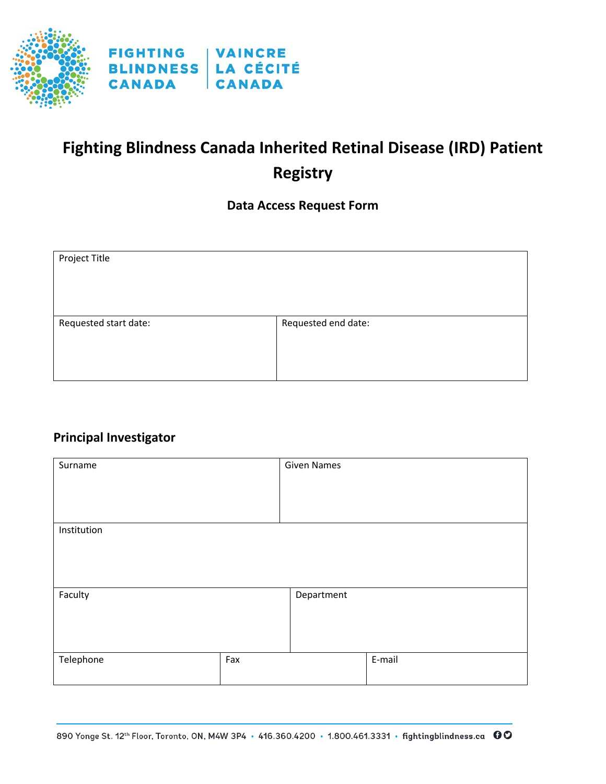

# **Fighting Blindness Canada Inherited Retinal Disease (IRD) Patient Registry**

#### **Data Access Request Form**

| Project Title         |                     |
|-----------------------|---------------------|
| Requested start date: | Requested end date: |

## **Principal Investigator**

| Surname     |     | <b>Given Names</b> |        |
|-------------|-----|--------------------|--------|
| Institution |     |                    |        |
| Faculty     |     | Department         |        |
| Telephone   | Fax |                    | E-mail |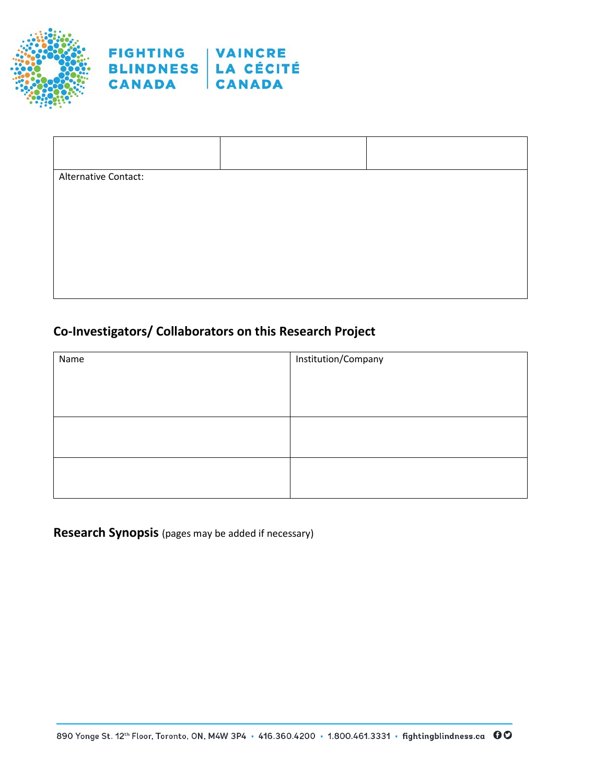



| Alternative Contact: |  |
|----------------------|--|
|                      |  |
|                      |  |
|                      |  |
|                      |  |
|                      |  |

### **Co-Investigators/ Collaborators on this Research Project**

| Name | Institution/Company |  |
|------|---------------------|--|
|      |                     |  |
|      |                     |  |
|      |                     |  |
|      |                     |  |
|      |                     |  |
|      |                     |  |
|      |                     |  |

**Research Synopsis** (pages may be added if necessary)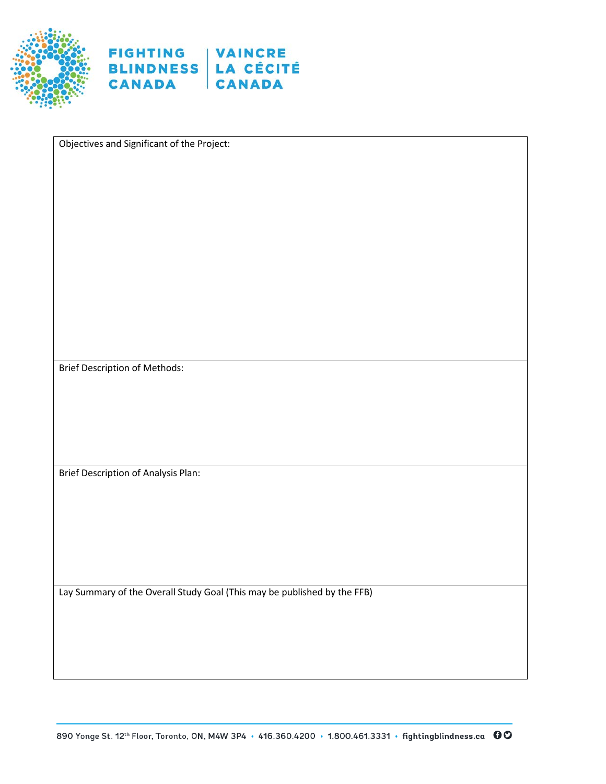



Objectives and Significant of the Project:

Brief Description of Methods:

Brief Description of Analysis Plan:

Lay Summary of the Overall Study Goal (This may be published by the FFB)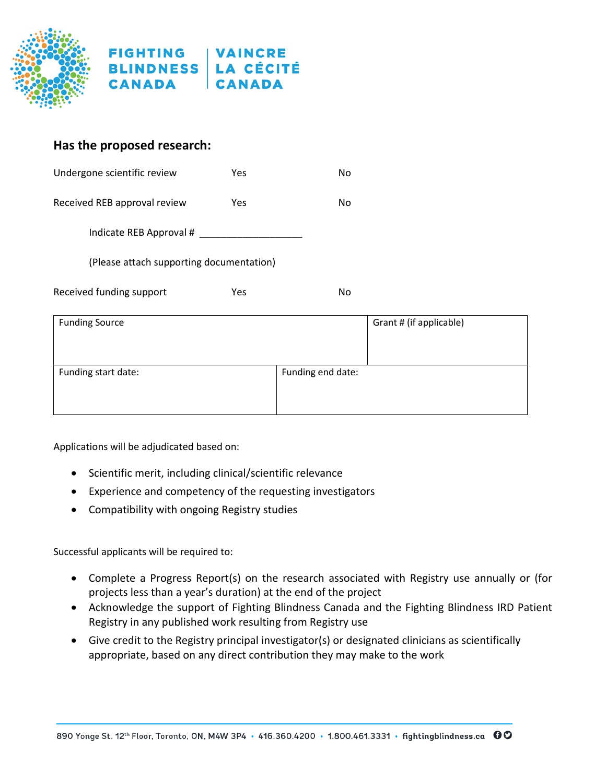



#### **Has the proposed research:**

| Undergone scientific review              | Yes        | No |                         |
|------------------------------------------|------------|----|-------------------------|
| Received REB approval review             | <b>Yes</b> | No |                         |
| Indicate REB Approval #                  |            |    |                         |
| (Please attach supporting documentation) |            |    |                         |
| Received funding support                 | <b>Yes</b> | No |                         |
| <b>Funding Source</b>                    |            |    | Grant # (if applicable) |
|                                          |            |    |                         |

Applications will be adjudicated based on:

• Scientific merit, including clinical/scientific relevance

Funding start date:  $\vert$  Funding end date:

- Experience and competency of the requesting investigators
- Compatibility with ongoing Registry studies

Successful applicants will be required to:

- Complete a Progress Report(s) on the research associated with Registry use annually or (for projects less than a year's duration) at the end of the project
- Acknowledge the support of Fighting Blindness Canada and the Fighting Blindness IRD Patient Registry in any published work resulting from Registry use
- Give credit to the Registry principal investigator(s) or designated clinicians as scientifically appropriate, based on any direct contribution they may make to the work